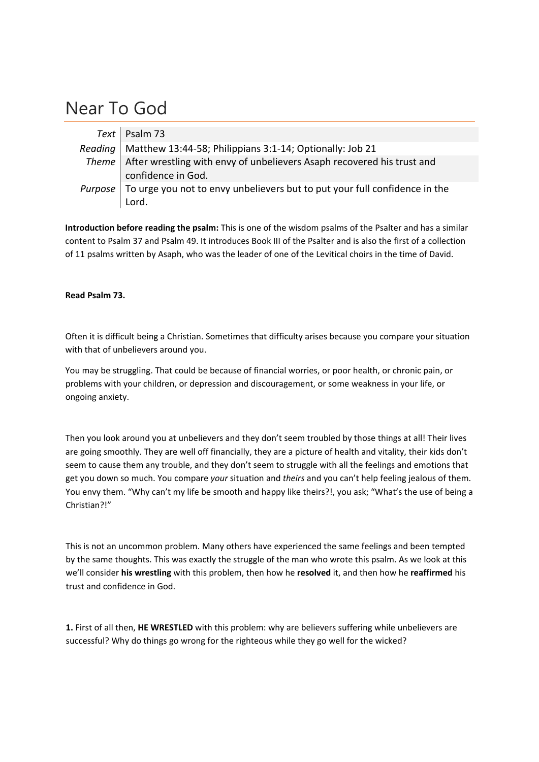## Near To God

| Text   Psalm 73                                                                      |
|--------------------------------------------------------------------------------------|
| Reading   Matthew 13:44-58; Philippians 3:1-14; Optionally: Job 21                   |
| Theme   After wrestling with envy of unbelievers Asaph recovered his trust and       |
| confidence in God.                                                                   |
| Purpose   To urge you not to envy unbelievers but to put your full confidence in the |
| Lord.                                                                                |

**Introduction before reading the psalm:** This is one of the wisdom psalms of the Psalter and has a similar content to Psalm 37 and Psalm 49. It introduces Book III of the Psalter and is also the first of a collection of 11 psalms written by Asaph, who was the leader of one of the Levitical choirs in the time of David.

## **Read Psalm 73.**

Often it is difficult being a Christian. Sometimes that difficulty arises because you compare your situation with that of unbelievers around you.

You may be struggling. That could be because of financial worries, or poor health, or chronic pain, or problems with your children, or depression and discouragement, or some weakness in your life, or ongoing anxiety.

Then you look around you at unbelievers and they don't seem troubled by those things at all! Their lives are going smoothly. They are well off financially, they are a picture of health and vitality, their kids don't seem to cause them any trouble, and they don't seem to struggle with all the feelings and emotions that get you down so much. You compare *your* situation and *theirs* and you can't help feeling jealous of them. You envy them. "Why can't my life be smooth and happy like theirs?!, you ask; "What's the use of being a Christian?!"

This is not an uncommon problem. Many others have experienced the same feelings and been tempted by the same thoughts. This was exactly the struggle of the man who wrote this psalm. As we look at this we'll consider **his wrestling** with this problem, then how he **resolved** it, and then how he **reaffirmed** his trust and confidence in God.

**1.** First of all then, **HE WRESTLED** with this problem: why are believers suffering while unbelievers are successful? Why do things go wrong for the righteous while they go well for the wicked?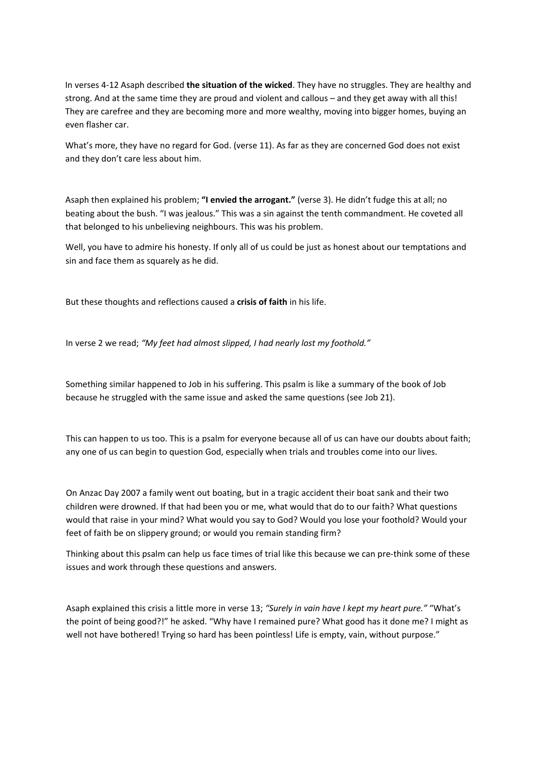In verses 4‐12 Asaph described **the situation of the wicked**. They have no struggles. They are healthy and strong. And at the same time they are proud and violent and callous – and they get away with all this! They are carefree and they are becoming more and more wealthy, moving into bigger homes, buying an even flasher car.

What's more, they have no regard for God. (verse 11). As far as they are concerned God does not exist and they don't care less about him.

Asaph then explained his problem; **"I envied the arrogant."** (verse 3). He didn't fudge this at all; no beating about the bush. "I was jealous." This was a sin against the tenth commandment. He coveted all that belonged to his unbelieving neighbours. This was his problem.

Well, you have to admire his honesty. If only all of us could be just as honest about our temptations and sin and face them as squarely as he did.

But these thoughts and reflections caused a **crisis of faith** in his life.

In verse 2 we read; *"My feet had almost slipped, I had nearly lost my foothold."*

Something similar happened to Job in his suffering. This psalm is like a summary of the book of Job because he struggled with the same issue and asked the same questions (see Job 21).

This can happen to us too. This is a psalm for everyone because all of us can have our doubts about faith; any one of us can begin to question God, especially when trials and troubles come into our lives.

On Anzac Day 2007 a family went out boating, but in a tragic accident their boat sank and their two children were drowned. If that had been you or me, what would that do to our faith? What questions would that raise in your mind? What would you say to God? Would you lose your foothold? Would your feet of faith be on slippery ground; or would you remain standing firm?

Thinking about this psalm can help us face times of trial like this because we can pre‐think some of these issues and work through these questions and answers.

Asaph explained this crisis a little more in verse 13; *"Surely in vain have I kept my heart pure."* "What's the point of being good?!" he asked. "Why have I remained pure? What good has it done me? I might as well not have bothered! Trying so hard has been pointless! Life is empty, vain, without purpose."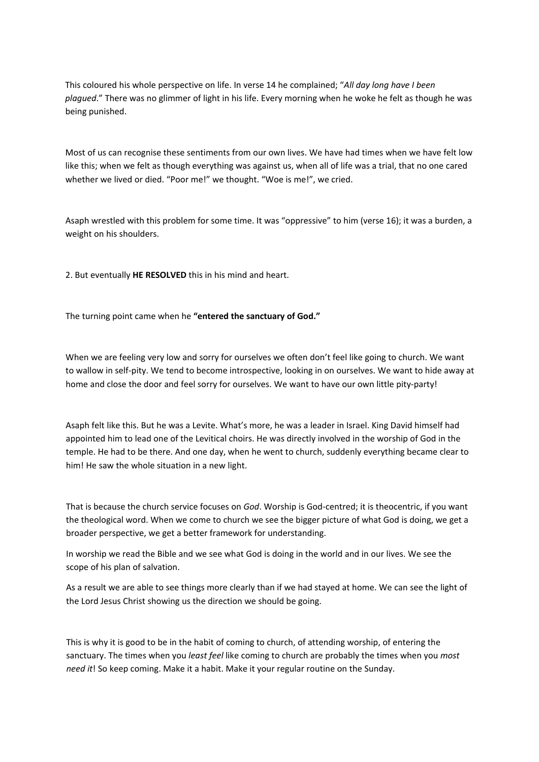This coloured his whole perspective on life. In verse 14 he complained; "*All day long have I been plagued*." There was no glimmer of light in his life. Every morning when he woke he felt as though he was being punished.

Most of us can recognise these sentiments from our own lives. We have had times when we have felt low like this; when we felt as though everything was against us, when all of life was a trial, that no one cared whether we lived or died. "Poor me!" we thought. "Woe is me!", we cried.

Asaph wrestled with this problem for some time. It was "oppressive" to him (verse 16); it was a burden, a weight on his shoulders.

2. But eventually **HE RESOLVED** this in his mind and heart.

The turning point came when he **"entered the sanctuary of God."**

When we are feeling very low and sorry for ourselves we often don't feel like going to church. We want to wallow in self‐pity. We tend to become introspective, looking in on ourselves. We want to hide away at home and close the door and feel sorry for ourselves. We want to have our own little pity-party!

Asaph felt like this. But he was a Levite. What's more, he was a leader in Israel. King David himself had appointed him to lead one of the Levitical choirs. He was directly involved in the worship of God in the temple. He had to be there. And one day, when he went to church, suddenly everything became clear to him! He saw the whole situation in a new light.

That is because the church service focuses on *God*. Worship is God‐centred; it is theocentric, if you want the theological word. When we come to church we see the bigger picture of what God is doing, we get a broader perspective, we get a better framework for understanding.

In worship we read the Bible and we see what God is doing in the world and in our lives. We see the scope of his plan of salvation.

As a result we are able to see things more clearly than if we had stayed at home. We can see the light of the Lord Jesus Christ showing us the direction we should be going.

This is why it is good to be in the habit of coming to church, of attending worship, of entering the sanctuary. The times when you *least feel* like coming to church are probably the times when you *most need it*! So keep coming. Make it a habit. Make it your regular routine on the Sunday.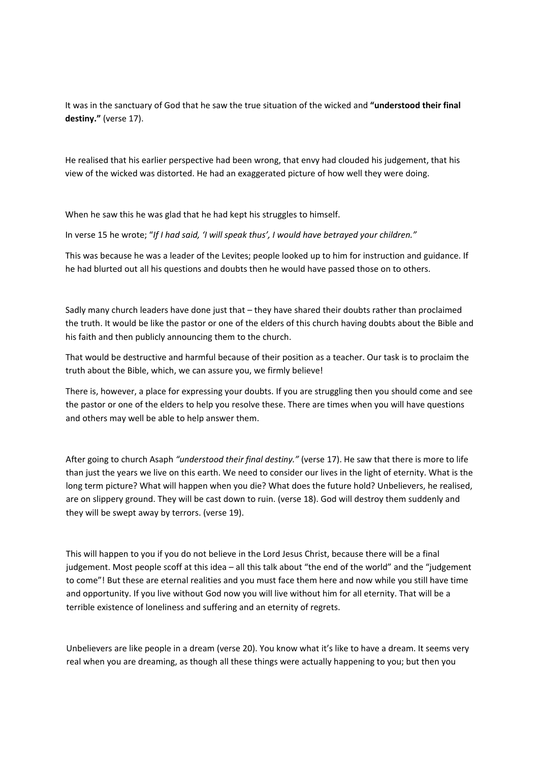It was in the sanctuary of God that he saw the true situation of the wicked and **"understood their final destiny."** (verse 17).

He realised that his earlier perspective had been wrong, that envy had clouded his judgement, that his view of the wicked was distorted. He had an exaggerated picture of how well they were doing.

When he saw this he was glad that he had kept his struggles to himself.

In verse 15 he wrote; "*If I had said, 'I will speak thus', I would have betrayed your children."*

This was because he was a leader of the Levites; people looked up to him for instruction and guidance. If he had blurted out all his questions and doubts then he would have passed those on to others.

Sadly many church leaders have done just that – they have shared their doubts rather than proclaimed the truth. It would be like the pastor or one of the elders of this church having doubts about the Bible and his faith and then publicly announcing them to the church.

That would be destructive and harmful because of their position as a teacher. Our task is to proclaim the truth about the Bible, which, we can assure you, we firmly believe!

There is, however, a place for expressing your doubts. If you are struggling then you should come and see the pastor or one of the elders to help you resolve these. There are times when you will have questions and others may well be able to help answer them.

After going to church Asaph *"understood their final destiny."* (verse 17). He saw that there is more to life than just the years we live on this earth. We need to consider our lives in the light of eternity. What is the long term picture? What will happen when you die? What does the future hold? Unbelievers, he realised, are on slippery ground. They will be cast down to ruin. (verse 18). God will destroy them suddenly and they will be swept away by terrors. (verse 19).

This will happen to you if you do not believe in the Lord Jesus Christ, because there will be a final judgement. Most people scoff at this idea – all this talk about "the end of the world" and the "judgement to come"! But these are eternal realities and you must face them here and now while you still have time and opportunity. If you live without God now you will live without him for all eternity. That will be a terrible existence of loneliness and suffering and an eternity of regrets.

Unbelievers are like people in a dream (verse 20). You know what it's like to have a dream. It seems very real when you are dreaming, as though all these things were actually happening to you; but then you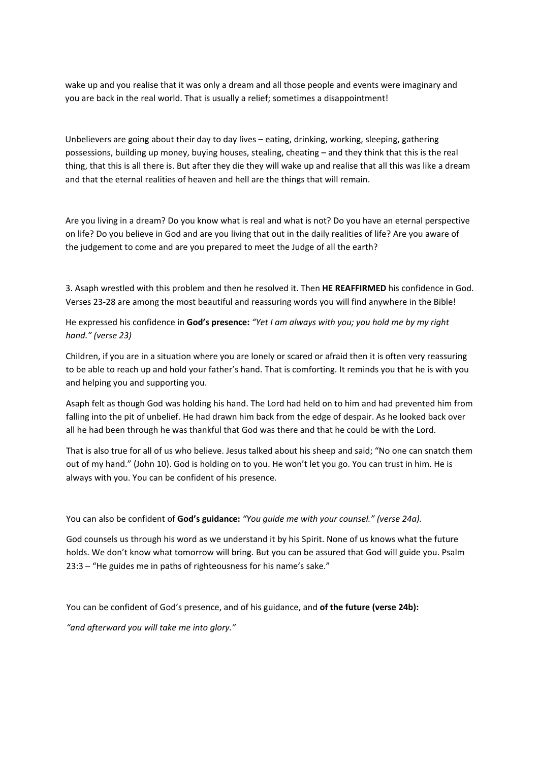wake up and you realise that it was only a dream and all those people and events were imaginary and you are back in the real world. That is usually a relief; sometimes a disappointment!

Unbelievers are going about their day to day lives – eating, drinking, working, sleeping, gathering possessions, building up money, buying houses, stealing, cheating – and they think that this is the real thing, that this is all there is. But after they die they will wake up and realise that all this was like a dream and that the eternal realities of heaven and hell are the things that will remain.

Are you living in a dream? Do you know what is real and what is not? Do you have an eternal perspective on life? Do you believe in God and are you living that out in the daily realities of life? Are you aware of the judgement to come and are you prepared to meet the Judge of all the earth?

3. Asaph wrestled with this problem and then he resolved it. Then **HE REAFFIRMED** his confidence in God. Verses 23‐28 are among the most beautiful and reassuring words you will find anywhere in the Bible!

He expressed his confidence in **God's presence:** *"Yet I am always with you; you hold me by my right hand." (verse 23)*

Children, if you are in a situation where you are lonely or scared or afraid then it is often very reassuring to be able to reach up and hold your father's hand. That is comforting. It reminds you that he is with you and helping you and supporting you.

Asaph felt as though God was holding his hand. The Lord had held on to him and had prevented him from falling into the pit of unbelief. He had drawn him back from the edge of despair. As he looked back over all he had been through he was thankful that God was there and that he could be with the Lord.

That is also true for all of us who believe. Jesus talked about his sheep and said; "No one can snatch them out of my hand." (John 10). God is holding on to you. He won't let you go. You can trust in him. He is always with you. You can be confident of his presence.

You can also be confident of **God's guidance:** *"You guide me with your counsel." (verse 24a).*

God counsels us through his word as we understand it by his Spirit. None of us knows what the future holds. We don't know what tomorrow will bring. But you can be assured that God will guide you. Psalm 23:3 – "He guides me in paths of righteousness for his name's sake."

You can be confident of God's presence, and of his guidance, and **of the future (verse 24b):**

*"and afterward you will take me into glory."*